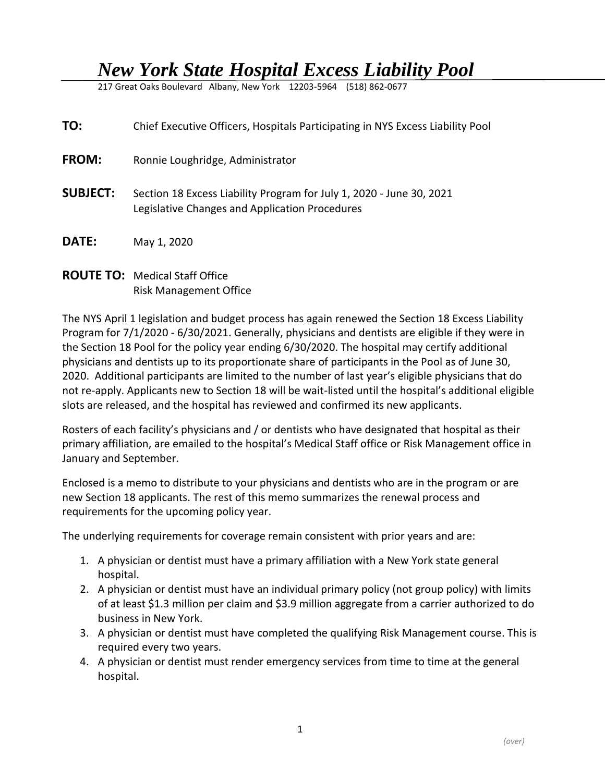## *New York State Hospital Excess Liability Pool*

217 Great Oaks Boulevard Albany, New York 12203-5964 (518) 862-0677

| TO:             | Chief Executive Officers, Hospitals Participating in NYS Excess Liability Pool                                         |
|-----------------|------------------------------------------------------------------------------------------------------------------------|
| FROM:           | Ronnie Loughridge, Administrator                                                                                       |
| <b>SUBJECT:</b> | Section 18 Excess Liability Program for July 1, 2020 - June 30, 2021<br>Legislative Changes and Application Procedures |
| DATE:           | May 1, 2020                                                                                                            |

## **ROUTE TO:** Medical Staff Office Risk Management Office

The NYS April 1 legislation and budget process has again renewed the Section 18 Excess Liability Program for 7/1/2020 - 6/30/2021. Generally, physicians and dentists are eligible if they were in the Section 18 Pool for the policy year ending 6/30/2020. The hospital may certify additional physicians and dentists up to its proportionate share of participants in the Pool as of June 30, 2020. Additional participants are limited to the number of last year's eligible physicians that do not re-apply. Applicants new to Section 18 will be wait-listed until the hospital's additional eligible slots are released, and the hospital has reviewed and confirmed its new applicants.

Rosters of each facility's physicians and / or dentists who have designated that hospital as their primary affiliation, are emailed to the hospital's Medical Staff office or Risk Management office in January and September.

Enclosed is a memo to distribute to your physicians and dentists who are in the program or are new Section 18 applicants. The rest of this memo summarizes the renewal process and requirements for the upcoming policy year.

The underlying requirements for coverage remain consistent with prior years and are:

- 1. A physician or dentist must have a primary affiliation with a New York state general hospital.
- 2. A physician or dentist must have an individual primary policy (not group policy) with limits of at least \$1.3 million per claim and \$3.9 million aggregate from a carrier authorized to do business in New York.
- 3. A physician or dentist must have completed the qualifying Risk Management course. This is required every two years.
- 4. A physician or dentist must render emergency services from time to time at the general hospital.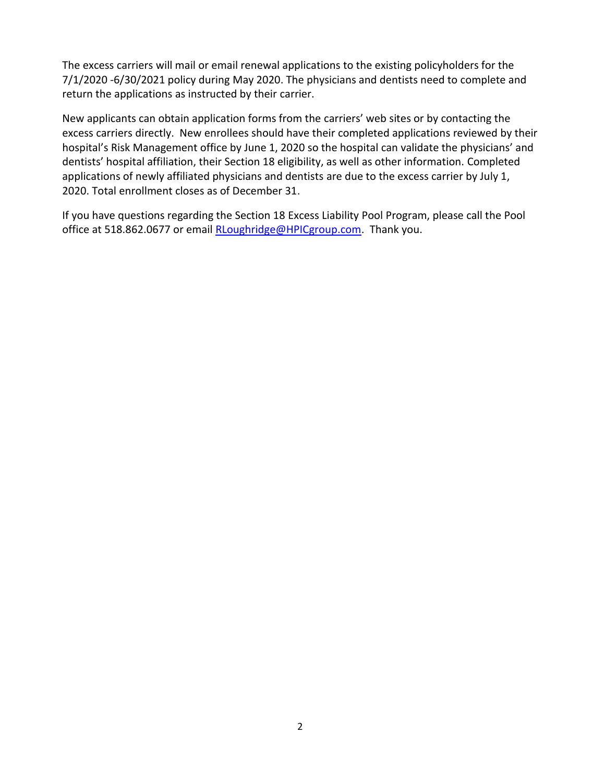The excess carriers will mail or email renewal applications to the existing policyholders for the 7/1/2020 -6/30/2021 policy during May 2020. The physicians and dentists need to complete and return the applications as instructed by their carrier.

New applicants can obtain application forms from the carriers' web sites or by contacting the excess carriers directly. New enrollees should have their completed applications reviewed by their hospital's Risk Management office by June 1, 2020 so the hospital can validate the physicians' and dentists' hospital affiliation, their Section 18 eligibility, as well as other information. Completed applications of newly affiliated physicians and dentists are due to the excess carrier by July 1, 2020. Total enrollment closes as of December 31.

If you have questions regarding the Section 18 Excess Liability Pool Program, please call the Pool office at 518.862.0677 or email [RLoughridge@HPICgroup.com.](file://///HPIC-DC1/Vol1/Users/rloughri/Pool%20Renewal%20Letters%20&%20Attachments-CEO-CMOltr/2018-2019/RLoughridge@HPICgroup.com) Thank you.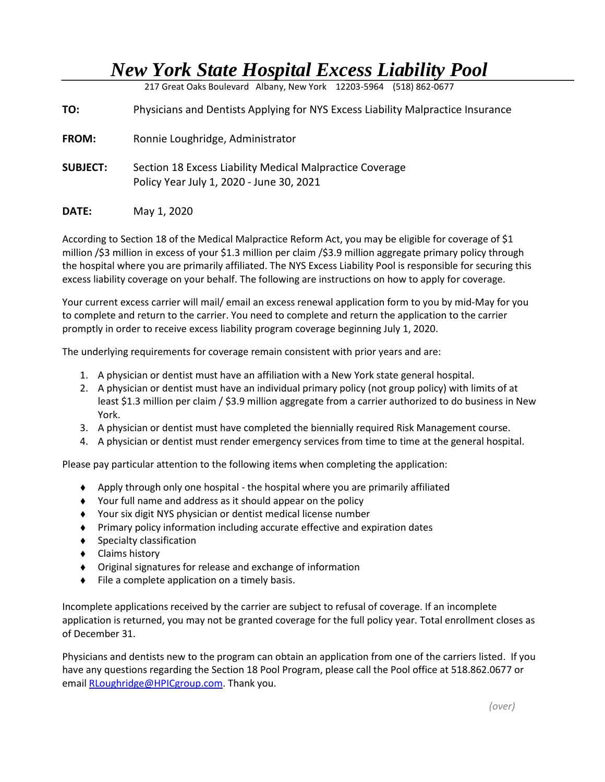## *New York State Hospital Excess Liability Pool*

217 Great Oaks Boulevard Albany, New York 12203-5964 (518) 862-0677

**TO:** Physicians and Dentists Applying for NYS Excess Liability Malpractice Insurance

**FROM:** Ronnie Loughridge, Administrator

- **SUBJECT:** Section 18 Excess Liability Medical Malpractice Coverage Policy Year July 1, 2020 - June 30, 2021
- **DATE:** May 1, 2020

According to Section 18 of the Medical Malpractice Reform Act, you may be eligible for coverage of \$1 million /\$3 million in excess of your \$1.3 million per claim /\$3.9 million aggregate primary policy through the hospital where you are primarily affiliated. The NYS Excess Liability Pool is responsible for securing this excess liability coverage on your behalf. The following are instructions on how to apply for coverage.

Your current excess carrier will mail/ email an excess renewal application form to you by mid-May for you to complete and return to the carrier. You need to complete and return the application to the carrier promptly in order to receive excess liability program coverage beginning July 1, 2020.

The underlying requirements for coverage remain consistent with prior years and are:

- 1. A physician or dentist must have an affiliation with a New York state general hospital.
- 2. A physician or dentist must have an individual primary policy (not group policy) with limits of at least \$1.3 million per claim / \$3.9 million aggregate from a carrier authorized to do business in New York.
- 3. A physician or dentist must have completed the biennially required Risk Management course.
- 4. A physician or dentist must render emergency services from time to time at the general hospital.

Please pay particular attention to the following items when completing the application:

- Apply through only one hospital the hospital where you are primarily affiliated
- Your full name and address as it should appear on the policy
- Your six digit NYS physician or dentist medical license number
- Primary policy information including accurate effective and expiration dates
- ◆ Specialty classification
- ◆ Claims history
- Original signatures for release and exchange of information
- ◆ File a complete application on a timely basis.

Incomplete applications received by the carrier are subject to refusal of coverage. If an incomplete application is returned, you may not be granted coverage for the full policy year. Total enrollment closes as of December 31.

Physicians and dentists new to the program can obtain an application from one of the carriers listed. If you have any questions regarding the Section 18 Pool Program, please call the Pool office at 518.862.0677 or email [RLoughridge@HPICgroup.com.](file://///HPIC-DC1/Vol1/Users/rloughri/Pool%20Renewal%20Letters%20&%20Attachments-CEO-CMOltr/2018-2019/RLoughridge@HPICgroup.com) Thank you.